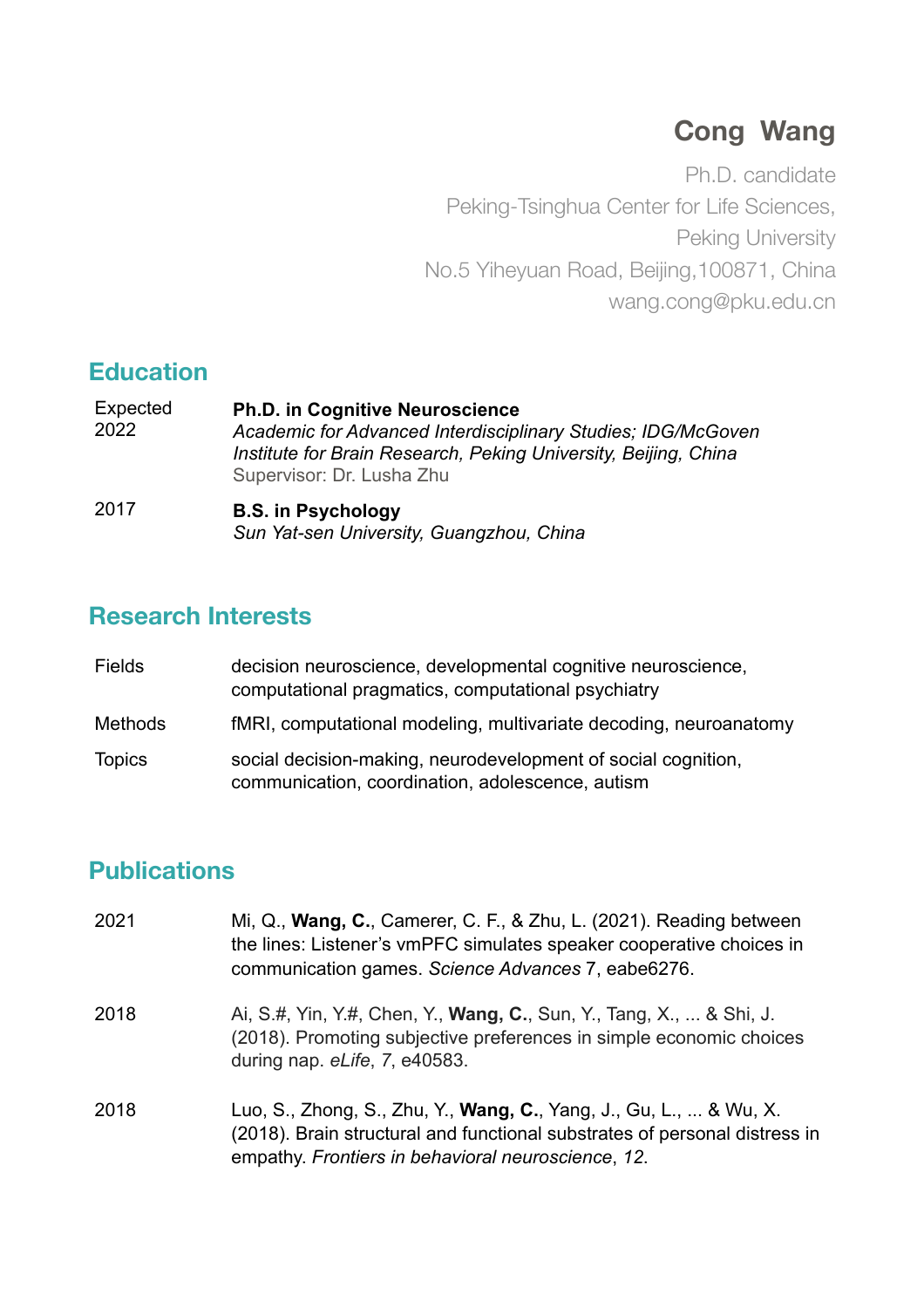# **Cong Wang**

Ph.D. candidate Peking-Tsinghua Center for Life Sciences, Peking University No.5 Yiheyuan Road, Beijing,100871, China wang.cong@pku.edu.cn

## **Education**

| Expected<br>2022 | <b>Ph.D. in Cognitive Neuroscience</b><br>Academic for Advanced Interdisciplinary Studies; IDG/McGoven<br>Institute for Brain Research, Peking University, Beijing, China<br>Supervisor: Dr. Lusha Zhu |
|------------------|--------------------------------------------------------------------------------------------------------------------------------------------------------------------------------------------------------|
| 2017             | <b>B.S. in Psychology</b><br>Sun Yat-sen University, Guangzhou, China                                                                                                                                  |

### **Research Interests**

| <b>Fields</b> | decision neuroscience, developmental cognitive neuroscience,<br>computational pragmatics, computational psychiatry |
|---------------|--------------------------------------------------------------------------------------------------------------------|
| Methods       | fMRI, computational modeling, multivariate decoding, neuroanatomy                                                  |
| <b>Topics</b> | social decision-making, neurodevelopment of social cognition,<br>communication, coordination, adolescence, autism  |

# **Publications**

| 2021 | Mi, Q., Wang, C., Camerer, C. F., & Zhu, L. (2021). Reading between<br>the lines: Listener's vmPFC simulates speaker cooperative choices in<br>communication games. Science Advances 7, eabe6276.              |
|------|----------------------------------------------------------------------------------------------------------------------------------------------------------------------------------------------------------------|
| 2018 | Ai, S.#, Yin, Y.#, Chen, Y., <b>Wang, C.</b> , Sun, Y., Tang, X.,  & Shi, J.<br>(2018). Promoting subjective preferences in simple economic choices<br>during nap. eLife, 7, e40583.                           |
| 2018 | Luo, S., Zhong, S., Zhu, Y., <b>Wang, C.</b> , Yang, J., Gu, L.,  & Wu, X.<br>(2018). Brain structural and functional substrates of personal distress in<br>empathy. Frontiers in behavioral neuroscience, 12. |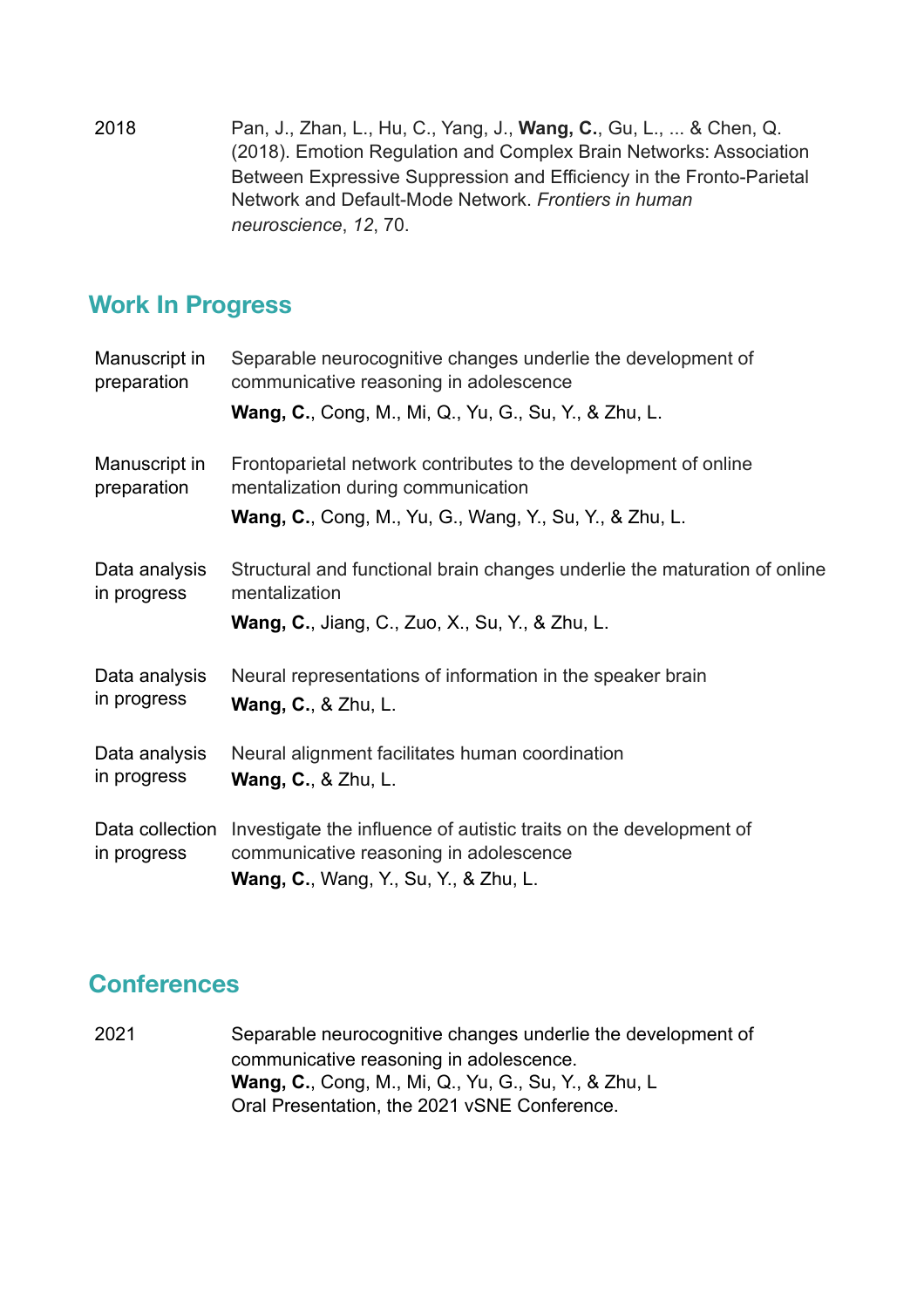2018 Pan, J., Zhan, L., Hu, C., Yang, J., **Wang, C.**, Gu, L., ... & Chen, Q. (2018). Emotion Regulation and Complex Brain Networks: Association Between Expressive Suppression and Efficiency in the Fronto-Parietal Network and Default-Mode Network. *Frontiers in human neuroscience*, *12*, 70.

# **Work In Progress**

| Manuscript in<br>preparation   | Separable neurocognitive changes underlie the development of<br>communicative reasoning in adolescence<br><b>Wang, C., Cong, M., Mi, Q., Yu, G., Su, Y., &amp; Zhu, L.</b>  |
|--------------------------------|-----------------------------------------------------------------------------------------------------------------------------------------------------------------------------|
| Manuscript in<br>preparation   | Frontoparietal network contributes to the development of online<br>mentalization during communication<br><b>Wang, C., Cong, M., Yu, G., Wang, Y., Su, Y., &amp; Zhu, L.</b> |
| Data analysis<br>in progress   | Structural and functional brain changes underlie the maturation of online<br>mentalization<br><b>Wang, C., Jiang, C., Zuo, X., Su, Y., &amp; Zhu, L.</b>                    |
| Data analysis<br>in progress   | Neural representations of information in the speaker brain<br><b>Wang, C., &amp; Zhu, L.</b>                                                                                |
| Data analysis<br>in progress   | Neural alignment facilitates human coordination<br><b>Wang, C., &amp; Zhu, L.</b>                                                                                           |
| Data collection<br>in progress | Investigate the influence of autistic traits on the development of<br>communicative reasoning in adolescence<br><b>Wang, C., Wang, Y., Su, Y., &amp; Zhu, L.</b>            |

### **Conferences**

2021 Separable neurocognitive changes underlie the development of communicative reasoning in adolescence. **Wang, C.**, Cong, M., Mi, Q., Yu, G., Su, Y., & Zhu, L Oral Presentation, the 2021 vSNE Conference.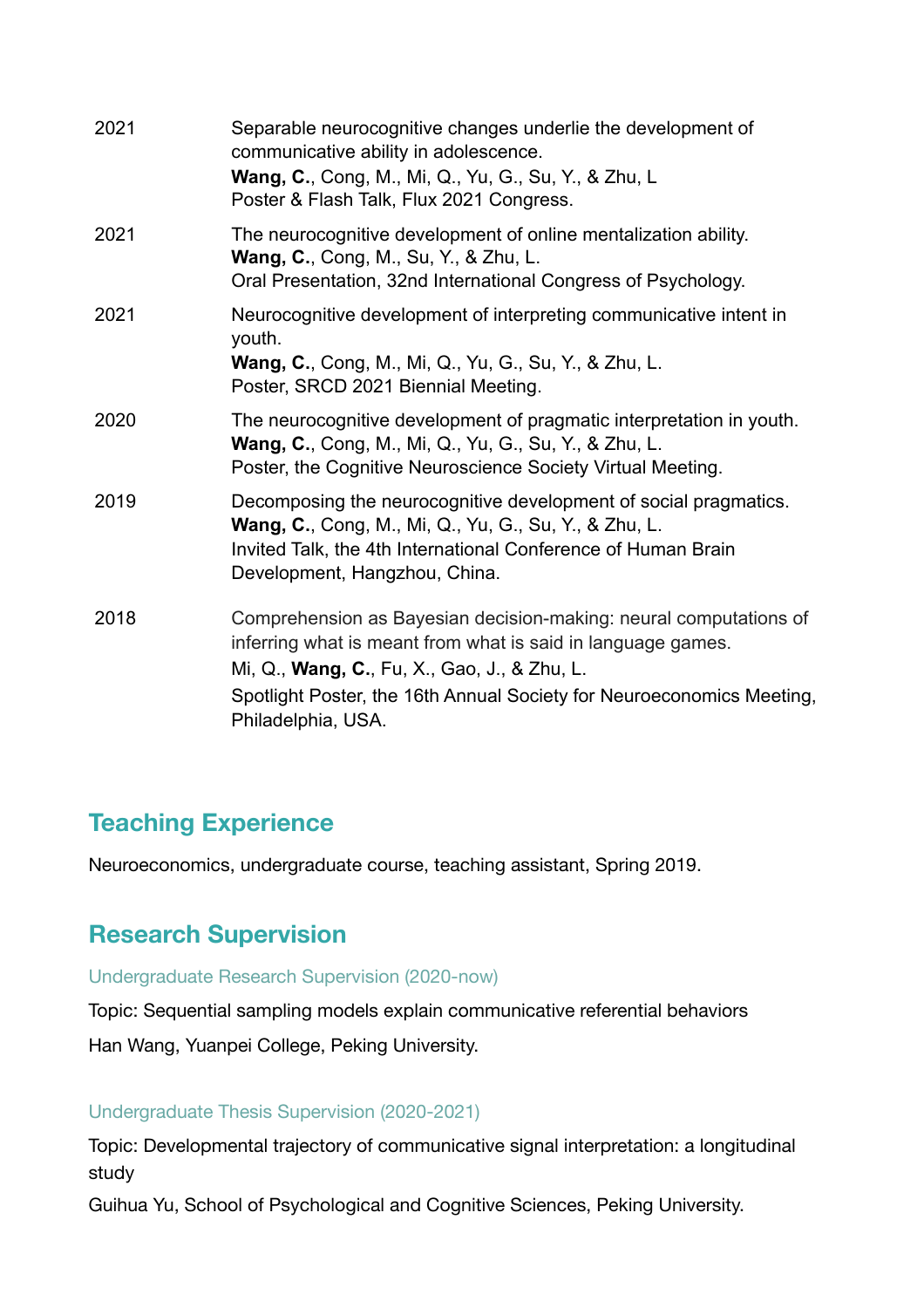| 2021 | Separable neurocognitive changes underlie the development of<br>communicative ability in adolescence.<br>Wang, C., Cong, M., Mi, Q., Yu, G., Su, Y., & Zhu, L.<br>Poster & Flash Talk, Flux 2021 Congress.                                                                       |
|------|----------------------------------------------------------------------------------------------------------------------------------------------------------------------------------------------------------------------------------------------------------------------------------|
| 2021 | The neurocognitive development of online mentalization ability.<br>Wang, C., Cong, M., Su, Y., & Zhu, L.<br>Oral Presentation, 32nd International Congress of Psychology.                                                                                                        |
| 2021 | Neurocognitive development of interpreting communicative intent in<br>youth.<br><b>Wang, C.</b> , Cong, M., Mi, Q., Yu, G., Su, Y., & Zhu, L.<br>Poster, SRCD 2021 Biennial Meeting.                                                                                             |
| 2020 | The neurocognitive development of pragmatic interpretation in youth.<br><b>Wang, C.</b> , Cong, M., Mi, Q., Yu, G., Su, Y., & Zhu, L.<br>Poster, the Cognitive Neuroscience Society Virtual Meeting.                                                                             |
| 2019 | Decomposing the neurocognitive development of social pragmatics.<br><b>Wang, C.</b> , Cong, M., Mi, Q., Yu, G., Su, Y., & Zhu, L.<br>Invited Talk, the 4th International Conference of Human Brain<br>Development, Hangzhou, China.                                              |
| 2018 | Comprehension as Bayesian decision-making: neural computations of<br>inferring what is meant from what is said in language games.<br>Mi, Q., Wang, C., Fu, X., Gao, J., & Zhu, L.<br>Spotlight Poster, the 16th Annual Society for Neuroeconomics Meeting,<br>Philadelphia, USA. |

## **Teaching Experience**

Neuroeconomics, undergraduate course, teaching assistant, Spring 2019.

# **Research Supervision**

#### Undergraduate Research Supervision (2020-now)

Topic: Sequential sampling models explain communicative referential behaviors

Han Wang, Yuanpei College, Peking University.

#### Undergraduate Thesis Supervision (2020-2021)

Topic: Developmental trajectory of communicative signal interpretation: a longitudinal study

Guihua Yu, School of Psychological and Cognitive Sciences, Peking University.